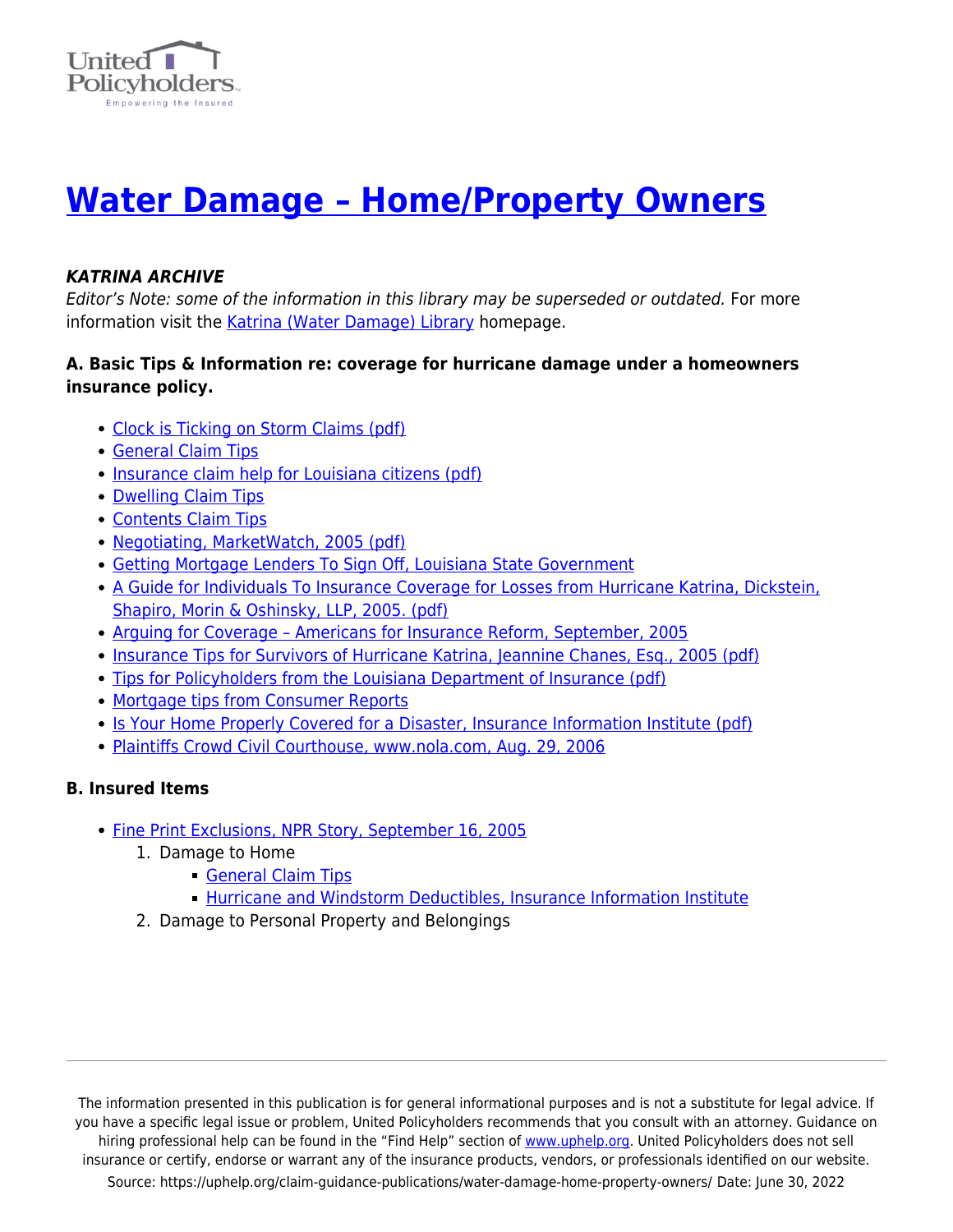

# **[Water Damage – Home/Property Owners](https://uphelp.org/claim-guidance-publications/water-damage-home-property-owners/)**

## *KATRINA ARCHIVE*

Editor's Note: some of the information in this library may be superseded or outdated. For more information visit the [Katrina \(Water Damage\) Library](https://uphelp.org/claim-guidance-publications/katrina-water-damage-library-archive/) homepage.

#### **A. Basic Tips & Information re: coverage for hurricane damage under a homeowners insurance policy.**

- [Clock is Ticking on Storm Claims \(pdf\)](https://uphelp.org/wp-content/uploads/2020/10/ClockIsTickingOnStormClaims.pdf)
- [General Claim Tips](https://uphelp.org/claim-guidance-publications/general-claim-tips/)
- [Insurance claim help for Louisiana citizens \(pdf\)](https://www.uphelp.org/pdfs/LouisianaUPHELP.pdf)
- [Dwelling Claim Tips](https://uphelp.org/claim-guidance-publications/insurance-recovery-tips-for-the-dwelling-part-of-your-claim/)
- [Contents Claim Tips](https://uphelp.org/claim-guidance-publications/home-inventory-and-contents-claim-tips/)
- [Negotiating, MarketWatch, 2005 \(pdf\)](https://uphelp.org/wp-content/uploads/2020/10/Negotiating.pdf)
- [Getting Mortgage Lenders To Sign Off, Louisiana State Government](https://www.uphelp.org/disaster/katrina_articles/katrina_mortgage.html)
- [A Guide for Individuals To Insurance Coverage for Losses from Hurricane Katrina, Dickstein,](https://uphelp.org/wp-content/uploads/2020/10/DicksteinGuide.pdf) [Shapiro, Morin & Oshinsky, LLP, 2005. \(pdf\)](https://uphelp.org/wp-content/uploads/2020/10/DicksteinGuide.pdf)
- Arguing for Coverage Americans for Insurance Reform, September, 2005
- [Insurance Tips for Survivors of Hurricane Katrina, Jeannine Chanes, Esq., 2005 \(pdf\)](https://uphelp.org/wp-content/uploads/2020/10/InsuranceTips.pdf)
- [Tips for Policyholders from the Louisiana Department of Insurance \(pdf\)](http://www.ldi.la.gov/consumers/misc_pubs/Hurricane%20Katrina%20related%20Q&A.pdf)
- [Mortgage tips from Consumer Reports](http://www.consumersunion.org/pub/core_financial_services/003001.html)
- [Is Your Home Properly Covered for a Disaster, Insurance Information Institute \(pdf\)](https://www.uphelp.org/disaster/library/HomeProtection.pdf)
- [Plaintiffs Crowd Civil Courthouse, www.nola.com, Aug. 29, 2006](https://www.uphelp.org/disaster/katrina_articles/katrina_CrowdCourt.html)

## **B. Insured Items**

- [Fine Print Exclusions, NPR Story, September 16, 2005](http://www.npr.org/templates/story/story.php?storyId=4850521)
	- 1. Damage to Home
		- [General Claim Tips](https://uphelp.org/claim-guidance-publications/general-claim-tips/)
		- **[Hurricane and Windstorm Deductibles, Insurance Information Institute](https://www.uphelp.org/disaster/katrina_articles/katrina_deductibles.html)**
	- 2. Damage to Personal Property and Belongings

The information presented in this publication is for general informational purposes and is not a substitute for legal advice. If you have a specific legal issue or problem, United Policyholders recommends that you consult with an attorney. Guidance on hiring professional help can be found in the "Find Help" section of [www.uphelp.org.](http://www.uphelp.org/) United Policyholders does not sell insurance or certify, endorse or warrant any of the insurance products, vendors, or professionals identified on our website. Source: https://uphelp.org/claim-guidance-publications/water-damage-home-property-owners/ Date: June 30, 2022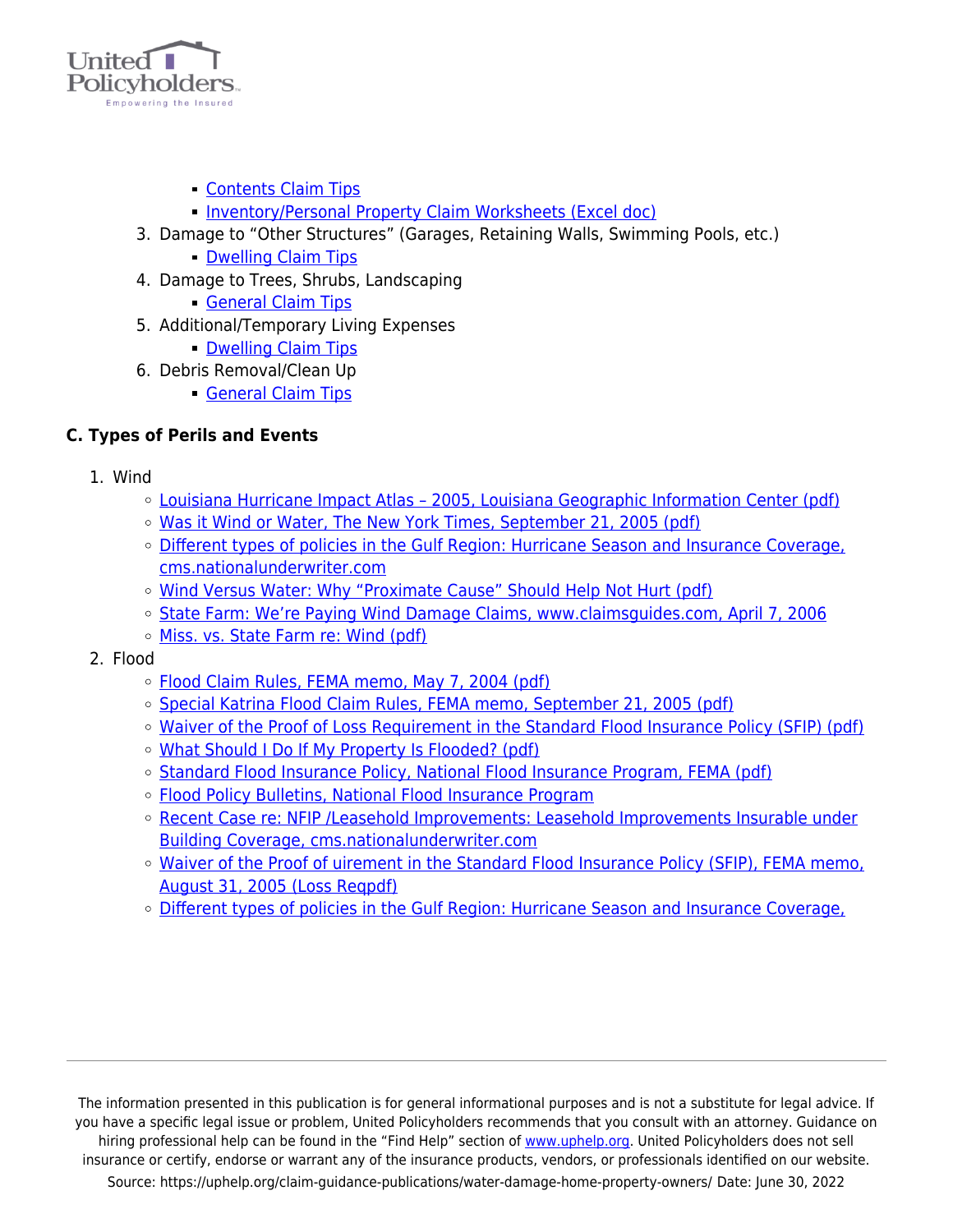

- **[Contents Claim Tips](https://uphelp.org/claim-guidance-publications/home-inventory-and-contents-claim-tips/)**
- [Inventory/Personal Property Claim Worksheets \(Excel doc\)](https://www.uphelp.org/sites/default/files/u4/UP%20Home%20Inventory-v2%203.29.12.xls)
- 3. Damage to "Other Structures" (Garages, Retaining Walls, Swimming Pools, etc.)
	- **[Dwelling Claim Tips](https://uphelp.org/claim-guidance-publications/insurance-recovery-tips-for-the-dwelling-part-of-your-claim/)**
- 4. Damage to Trees, Shrubs, Landscaping
	- [General Claim Tips](https://uphelp.org/claim-guidance-publications/general-claim-tips/)
- 5. Additional/Temporary Living Expenses
	- **[Dwelling Claim Tips](https://uphelp.org/claim-guidance-publications/insurance-recovery-tips-for-the-dwelling-part-of-your-claim/)**
- 6. Debris Removal/Clean Up
	- [General Claim Tips](https://uphelp.org/claim-guidance-publications/general-claim-tips/)

## **C. Types of Perils and Events**

- 1. Wind
	- [Louisiana Hurricane Impact Atlas 2005, Louisiana Geographic Information Center \(pdf\)](https://uphelp.org/wp-content/uploads/2020/10/LGISC-PUB-20051116-00_2005_HURRICANE_ATLAS.pdf)
	- [Was it Wind or Water, The New York Times, September 21, 2005 \(pdf\)](https://uphelp.org/wp-content/uploads/2020/10/WasItWindOrWater.pdf)
	- o [Different types of policies in the Gulf Region: Hurricane Season and Insurance Coverage,](https://www.uphelp.org/disaster/tip_katrina_home.html#season) [cms.nationalunderwriter.com](https://www.uphelp.org/disaster/tip_katrina_home.html#season)
	- o [Wind Versus Water: Why "Proximate Cause" Should Help Not Hurt \(pdf\)](https://uphelp.org/wp-content/uploads/2020/10/WindWater.pdf)
	- o [State Farm: We're Paying Wind Damage Claims, www.claimsguides.com, April 7, 2006](https://www.uphelp.org/disaster/katrina_articles/katrina_StateFarm.html)
	- [Miss. vs. State Farm re: Wind \(pdf\)](https://uphelp.org/wp-content/uploads/2020/10/MSvStateFarm.pdf)
- 2. Flood
	- [Flood Claim Rules, FEMA memo, May 7, 2004 \(pdf\)](https://www.uphelp.org/disaster/library/FEMAMemo040507FloodClaimRules.pdf)
	- [Special Katrina Flood Claim Rules, FEMA memo, September 21, 2005 \(pdf\)](http://bsa.nfipstat.com/wyobull/w-05054.pdf)
	- o [Waiver of the Proof of Loss Requirement in the Standard Flood Insurance Policy \(SFIP\) \(pdf\)](https://uphelp.org/wp-content/uploads/2020/10/FEMA-Form_086-0-09_proof-of-loss-1.pdf)
	- [What Should I Do If My Property Is Flooded? \(pdf\)](https://uphelp.org/wp-content/uploads/2020/10/WhatShouldIDoIfMyPropertyIsFlooded.pdf)
	- o [Standard Flood Insurance Policy, National Flood Insurance Program, FEMA \(pdf\)](https://uphelp.org/wp-content/uploads/2020/10/NationalFloodInsurancePolicy.pdf)
	- o [Flood Policy Bulletins, National Flood Insurance Program](http://bsa.nfipstat.com/wyobull/wyobull.htm)
	- [Recent Case re: NFIP /Leasehold Improvements: Leasehold Improvements Insurable under](https://www.uphelp.org/disaster/tip_katrina_business.html#Leasehold) [Building Coverage, cms.nationalunderwriter.com](https://www.uphelp.org/disaster/tip_katrina_business.html#Leasehold)
	- o [Waiver of the Proof of uirement in the Standard Flood Insurance Policy \(SFIP\), FEMA memo,](https://uphelp.org/wp-content/uploads/2020/10/FEMA-Form_086-0-09_proof-of-loss-1.pdf) [August 31, 2005 \(Loss Reqpdf\)](https://uphelp.org/wp-content/uploads/2020/10/FEMA-Form_086-0-09_proof-of-loss-1.pdf)
	- [Different types of policies in the Gulf Region: Hurricane Season and Insurance Coverage,](https://www.uphelp.org/disaster/tip_katrina_home.html#season)

The information presented in this publication is for general informational purposes and is not a substitute for legal advice. If you have a specific legal issue or problem, United Policyholders recommends that you consult with an attorney. Guidance on hiring professional help can be found in the "Find Help" section of [www.uphelp.org.](http://www.uphelp.org/) United Policyholders does not sell insurance or certify, endorse or warrant any of the insurance products, vendors, or professionals identified on our website. Source: https://uphelp.org/claim-guidance-publications/water-damage-home-property-owners/ Date: June 30, 2022